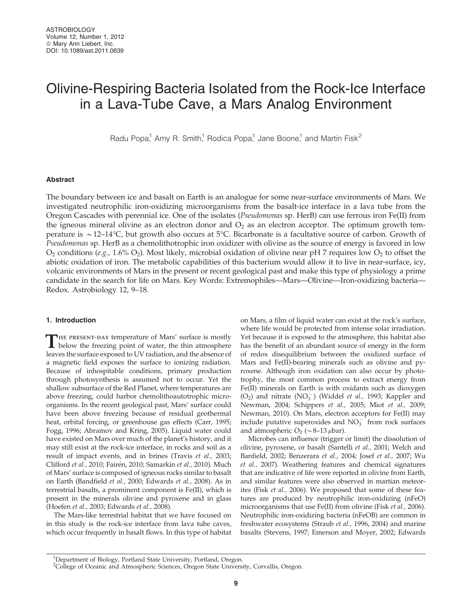# Olivine-Respiring Bacteria Isolated from the Rock-Ice Interface in a Lava-Tube Cave, a Mars Analog Environment

Radu Popa,<sup>1</sup> Amy R. Smith,<sup>1</sup> Rodica Popa,<sup>1</sup> Jane Boone,<sup>1</sup> and Martin Fisk<sup>2</sup>

## Abstract

The boundary between ice and basalt on Earth is an analogue for some near-surface environments of Mars. We investigated neutrophilic iron-oxidizing microorganisms from the basalt-ice interface in a lava tube from the Oregon Cascades with perennial ice. One of the isolates (Pseudomonas sp. HerB) can use ferrous iron Fe(II) from the igneous mineral olivine as an electron donor and  $O_2$  as an electron acceptor. The optimum growth temperature is  $\sim$  12–14°C, but growth also occurs at 5°C. Bicarbonate is a facultative source of carbon. Growth of Pseudomonas sp. HerB as a chemolithotrophic iron oxidizer with olivine as the source of energy is favored in low  $O_2$  conditions (e.g., 1.6%  $O_2$ ). Most likely, microbial oxidation of olivine near pH 7 requires low  $O_2$  to offset the abiotic oxidation of iron. The metabolic capabilities of this bacterium would allow it to live in near-surface, icy, volcanic environments of Mars in the present or recent geological past and make this type of physiology a prime candidate in the search for life on Mars. Key Words: Extremophiles—Mars—Olivine—Iron-oxidizing bacteria— Redox. Astrobiology 12, 9–18.

### 1. Introduction

THE PRESENT-DAY temperature of Mars' surface is mostly<br>below the freezing point of water, the thin atmosphere leaves the surface exposed to UV radiation, and the absence of a magnetic field exposes the surface to ionizing radiation. Because of inhospitable conditions, primary production through photosynthesis is assumed not to occur. Yet the shallow subsurface of the Red Planet, where temperatures are above freezing, could harbor chemolithoautotrophic microorganisms. In the recent geological past, Mars' surface could have been above freezing because of residual geothermal heat, orbital forcing, or greenhouse gas effects (Carr, 1995; Fogg, 1996; Abramov and Kring, 2005). Liquid water could have existed on Mars over much of the planet's history, and it may still exist at the rock-ice interface, in rocks and soil as a result of impact events, and in brines (Travis et al., 2003; Clifford et al., 2010; Fairén, 2010; Samarkin et al., 2010). Much of Mars' surface is composed of igneous rocks similar to basalt on Earth (Bandfield et al., 2000; Edwards et al., 2008). As in terrestrial basalts, a prominent component is Fe(II), which is present in the minerals olivine and pyroxene and in glass (Hoefen et al., 2003; Edwards et al., 2008).

The Mars-like terrestrial habitat that we have focused on in this study is the rock-ice interface from lava tube caves, which occur frequently in basalt flows. In this type of habitat on Mars, a film of liquid water can exist at the rock's surface, where life would be protected from intense solar irradiation. Yet because it is exposed to the atmosphere, this habitat also has the benefit of an abundant source of energy in the form of redox disequilibrium between the oxidized surface of Mars and Fe(II)-bearing minerals such as olivine and pyroxene. Although iron oxidation can also occur by phototrophy, the most common process to extract energy from Fe(II) minerals on Earth is with oxidants such as dioxygen  $(O_2)$  and nitrate  $(NO_3^-)$  (Widdel *et al.*, 1993; Kappler and Newman, 2004; Schippers et al., 2005; Miot et al., 2009; Newman, 2010). On Mars, electron acceptors for Fe(II) may include putative superoxides and  $NO<sub>3</sub><sup>-</sup>$  from rock surfaces and atmospheric  $O_2$  ( $\sim$  8–13  $\mu$ bar).

Microbes can influence (trigger or limit) the dissolution of olivine, pyroxene, or basalt (Santelli et al., 2001; Welch and Banfield, 2002; Benzerara et al., 2004; Josef et al., 2007; Wu et al., 2007). Weathering features and chemical signatures that are indicative of life were reported in olivine from Earth, and similar features were also observed in martian meteorites (Fisk et al., 2006). We proposed that some of these features are produced by neutrophilic iron-oxidizing (nFeO) microorganisms that use Fe(II) from olivine (Fisk et al., 2006). Neutrophilic iron-oxidizing bacteria (nFeOB) are common in freshwater ecosystems (Straub et al., 1996, 2004) and marine basalts (Stevens, 1997; Emerson and Moyer, 2002; Edwards

<sup>&</sup>lt;sup>1</sup>Department of Biology, Portland State University, Portland, Oregon.

<sup>&</sup>lt;sup>2</sup>College of Oceanic and Atmospheric Sciences, Oregon State University, Corvallis, Oregon.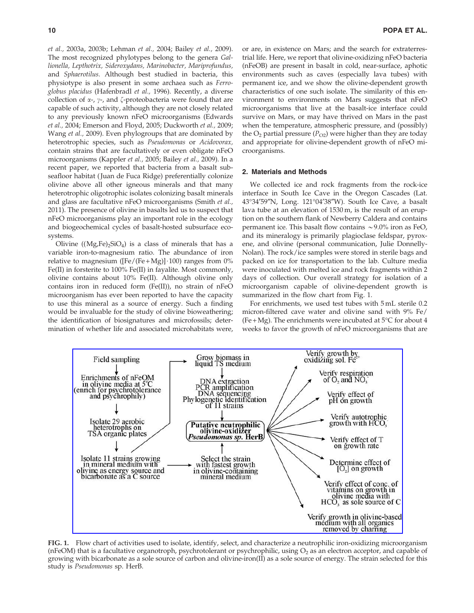et al., 2003a, 2003b; Lehman et al., 2004; Bailey et al., 2009). The most recognized phylotypes belong to the genera Gallionella, Lepthotrix, Sideroxydans, Marinobacter, Mariprofundus, and Sphaerotilus. Although best studied in bacteria, this physiotype is also present in some archaea such as Ferroglobus placidus (Hafenbradl et al., 1996). Recently, a diverse collection of  $\alpha$ -,  $\gamma$ -, and  $\zeta$ -proteobacteria were found that are capable of such activity, although they are not closely related to any previously known nFeO microorganisms (Edwards et al., 2004; Emerson and Floyd, 2005; Duckworth et al., 2009; Wang et al., 2009). Even phylogroups that are dominated by heterotrophic species, such as Pseudomonas or Acidovorax, contain strains that are facultatively or even obligate nFeO microorganisms (Kappler et al., 2005; Bailey et al., 2009). In a recent paper, we reported that bacteria from a basalt subseafloor habitat (Juan de Fuca Ridge) preferentially colonize olivine above all other igneous minerals and that many heterotrophic oligotrophic isolates colonizing basalt minerals and glass are facultative nFeO microorganisms (Smith et al., 2011). The presence of olivine in basalts led us to suspect that nFeO microorganisms play an important role in the ecology and biogeochemical cycles of basalt-hosted subsurface ecosystems.

Olivine  $((Mg,Fe)_2SiO_4)$  is a class of minerals that has a variable iron-to-magnesium ratio. The abundance of iron relative to magnesium ( $[Fe/(Fe+Mg)] \cdot 100$ ) ranges from 0% Fe(II) in forsterite to 100% Fe(II) in fayalite. Most commonly, olivine contains about 10% Fe(II). Although olivine only contains iron in reduced form (Fe(II)), no strain of nFeO microorganism has ever been reported to have the capacity to use this mineral as a source of energy. Such a finding would be invaluable for the study of olivine bioweathering; the identification of biosignatures and microfossils; determination of whether life and associated microhabitats were,

or are, in existence on Mars; and the search for extraterrestrial life. Here, we report that olivine-oxidizing nFeO bacteria (nFeOB) are present in basalt in cold, near-surface, aphotic environments such as caves (especially lava tubes) with permanent ice, and we show the olivine-dependent growth characteristics of one such isolate. The similarity of this environment to environments on Mars suggests that nFeO microorganisms that live at the basalt-ice interface could survive on Mars, or may have thrived on Mars in the past when the temperature, atmospheric pressure, and (possibly) the  $O_2$  partial pressure ( $P_{O2}$ ) were higher than they are today and appropriate for olivine-dependent growth of nFeO microorganisms.

## 2. Materials and Methods

We collected ice and rock fragments from the rock-ice interface in South Ice Cave in the Oregon Cascades (Lat. 43°34′59″N, Long. 121°04′38″W). South Ice Cave, a basalt lava tube at an elevation of 1530 m, is the result of an eruption on the southern flank of Newberry Caldera and contains permanent ice. This basalt flow contains  $\sim$  9.0% iron as FeO, and its mineralogy is primarily plagioclase feldspar, pyroxene, and olivine (personal communication, Julie Donnelly-Nolan). The rock/ice samples were stored in sterile bags and packed on ice for transportation to the lab. Culture media were inoculated with melted ice and rock fragments within 2 days of collection. Our overall strategy for isolation of a microorganism capable of olivine-dependent growth is summarized in the flow chart from Fig. 1.

For enrichments, we used test tubes with 5 mL sterile 0.2 micron-filtered cave water and olivine sand with 9% Fe/ (Fe + Mg). The enrichments were incubated at  $5^{\circ}$ C for about 4 weeks to favor the growth of nFeO microorganisms that are



FIG. 1. Flow chart of activities used to isolate, identify, select, and characterize a neutrophilic iron-oxidizing microorganism (nFeOM) that is a facultative organotroph, psychrotolerant or psychrophilic, using  $O_2$  as an electron acceptor, and capable of growing with bicarbonate as a sole source of carbon and olivine-iron(II) as a sole source of energy. The strain selected for this study is Pseudomonas sp. HerB.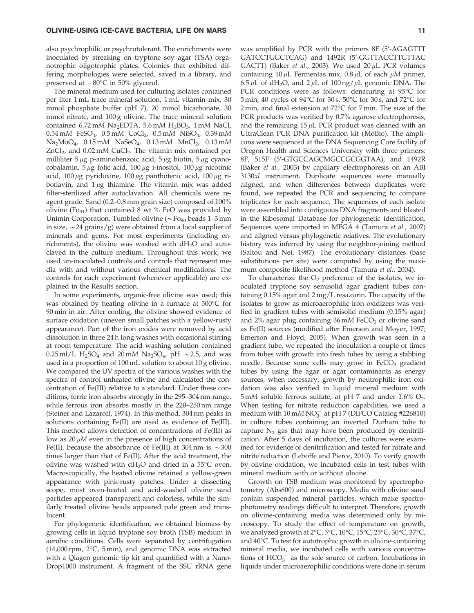also psychrophilic or psychrotolerant. The enrichments were inoculated by streaking on tryptone soy agar (TSA) organotrophic oligotrophic plates. Colonies that exhibited differing morphologies were selected, saved in a library, and preserved at –80°C in 50% glycerol.

The mineral medium used for culturing isolates contained per liter 1 mL trace mineral solution, 1 mL vitamin mix, 30 mmol phosphate buffer (pH 7), 20 mmol bicarbonate, 30 mmol nitrate, and 100 g olivine. The trace mineral solution contained 6.72 mM Na<sub>2</sub>EDTA, 5.6 mM H<sub>3</sub>BO<sub>3</sub>, 1 mM NaCl,  $0.54 \text{ mM}$  FeSO<sub>4</sub>,  $0.5 \text{ mM}$  CoCl<sub>2</sub>,  $0.5 \text{ mM}$  NiSO<sub>4</sub>,  $0.39 \text{ mM}$  $Na<sub>2</sub>MoO<sub>4</sub>$ , 0.15 mM  $NaSeO<sub>4</sub>$ , 0.13 mM  $MnCl<sub>2</sub>$ , 0.13 mM  $ZnCl<sub>2</sub>$ , and 0.02 mM CuCl<sub>2</sub>. The vitamin mix contained per milliliter  $5 \mu$ g p-aminobenzoic acid,  $5 \mu$ g biotin,  $5 \mu$ g cyanocobalamin,  $5 \mu$ g folic acid, 100  $\mu$ g i-inositol, 100  $\mu$ g nicotinic acid,  $100 \mu$ g pyridoxine,  $100 \mu$ g panthotenic acid,  $100 \mu$ g riboflavin, and  $1 \mu$ g thiamine. The vitamin mix was added filter-sterilized after autoclavation. All chemicals were reagent grade. Sand (0.2–0.8 mm grain size) composed of 100% olivine (Fo<sub>91</sub>) that contained 8 wt  $%$  FeO was provided by Unimin Corporation. Tumbled olivine ( $\sim$  Fo<sub>90</sub> beads 1–3 mm in size,  $\sim$  24 grains/g) were obtained from a local supplier of minerals and gems. For most experiments (including enrichments), the olivine was washed with  $dH_2O$  and autoclaved in the culture medium. Throughout this work, we used un-inoculated controls and controls that represent media with and without various chemical modifications. The controls for each experiment (whenever applicable) are explained in the Results section.

In some experiments, organic-free olivine was used; this was obtained by heating olivine in a furnace at 500°C for 90 min in air. After cooling, the olivine showed evidence of surface oxidation (uneven small patches with a yellow-rusty appearance). Part of the iron oxides were removed by acid dissolution in three 24 h long washes with occasional stirring at room temperature. The acid washing solution contained  $0.25$  ml/L H<sub>2</sub>SO<sub>4</sub> and 20 mM Na<sub>2</sub>SO<sub>4</sub>, pH ~2.5, and was used in a proportion of 100 mL solution to about 10 g olivine. We compared the UV spectra of the various washes with the spectra of control unheated olivine and calculated the concentration of Fe(III) relative to a standard. Under these conditions, ferric iron absorbs strongly in the 295–304 nm range, while ferrous iron absorbs mostly in the 220–250 nm range (Steiner and Lazaroff, 1974). In this method, 304 nm peaks in solutions containing Fe(II) are used as evidence of Fe(III). This method allows detection of concentrations of Fe(III) as low as  $20 \mu M$  even in the presence of high concentrations of Fe(II), because the absorbance of Fe(III) at 304 nm is  $\sim$  300 times larger than that of Fe(II). After the acid treatment, the olivine was washed with  $dH_2O$  and dried in a 55°C oven. Macroscopically, the heated olivine retained a yellow-green appearance with pink-rusty patches. Under a dissecting scope, most oven-heated and acid-washed olivine sand particles appeared transparent and colorless, while the similarly treated olivine beads appeared pale green and translucent.

For phylogenetic identification, we obtained biomass by growing cells in liquid tryptone soy broth (TSB) medium in aerobic conditions. Cells were separated by centrifugation  $(14,000$  rpm,  $2^{\circ}$ C, 5 min), and genomic DNA was extracted with a Qiagen genomic tip kit and quantified with a Nano-Drop1000 instrument. A fragment of the SSU rRNA gene

was amplified by PCR with the primers 8F (5'-AGAGTTT GATCCTGGCTCAG) and 1492R (5¢-GGTTACCTTGTTAC GACTT) (Baker et al., 2003). We used  $20 \mu L$  PCR volumes containing 10  $\mu$ L Fermentas mix, 0.8  $\mu$ L of each  $\mu$ M primer, 6.5  $\mu$ L of dH<sub>2</sub>O, and 2  $\mu$ L of 100 ng/ $\mu$ L genomic DNA. The PCR conditions were as follows: denaturing at 95°C for 5 min, 40 cycles of 94°C for 30s, 50°C for 30s, and 72°C for 2 min, and final extension at 72°C for 7 min. The size of the PCR products was verified by 0.7% agarose electrophoresis, and the remaining  $15 \mu L$  PCR product was cleaned with an UltraClean PCR DNA purification kit (MoBio). The amplicons were sequenced at the DNA Sequencing Core facility of Oregon Health and Sciences University with three primers: 8F, 515F (5¢-GTGCCAGCMGCCGCGGTAA), and 1492R (Baker et al., 2003) by capillary electrophoresis on an ABI 3130xl instrument. Duplicate sequences were manually aligned, and when differences between duplicates were found, we repeated the PCR and sequencing to compare triplicates for each sequence. The sequences of each isolate were assembled into contiguous DNA fragments and blasted in the Ribosomal Database for phylogenetic identification. Sequences were imported in MEGA 4 (Tamura et al., 2007) and aligned versus phylogenetic relatives. The evolutionary history was inferred by using the neighbor-joining method (Saitou and Nei, 1987). The evolutionary distances (base substitutions per site) were computed by using the maximum composite likelihood method (Tamura et al., 2004).

To characterize the  $O_2$  preference of the isolates, we inoculated tryptone soy semisolid agar gradient tubes containing 0.15% agar and 2 mg/L resazurin. The capacity of the isolates to grow as microaerophilic iron oxidizers was verified in gradient tubes with semisolid medium (0.15% agar) and 2% agar plug containing  $36 \text{ mM}$  FeCO<sub>3</sub> or olivine sand as Fe(II) sources (modified after Emerson and Moyer, 1997; Emerson and Floyd, 2005). When growth was seen in a gradient tube, we repeated the inoculation a couple of times from tubes with growth into fresh tubes by using a stabbing needle. Because some cells may grow in  $FeCO<sub>3</sub>$  gradient tubes by using the agar or agar contaminants as energy sources, when necessary, growth by neutrophilic iron oxidation was also verified in liquid mineral medium with  $5 \text{ mM}$  soluble ferrous sulfate, at pH 7 and under 1.6%  $\text{O}_2$ . When testing for nitrate reduction capabilities, we used a medium with  $10 \text{ mM NO}_3^-$  at pH 7 (DIFCO Catalog #226810) in culture tubes containing an inverted Durham tube to capture  $N_2$  gas that may have been produced by denitrification. After 5 days of incubation, the cultures were examined for evidence of denitrification and tested for nitrate and nitrite reduction (Leboffe and Pierce, 2010). To verify growth by olivine oxidation, we incubated cells in test tubes with mineral medium with or without olivine.

Growth on TSB medium was monitored by spectrophotometry (Abs600) and microscopy. Media with olivine sand contain suspended mineral particles, which make spectrophotometry readings difficult to interpret. Therefore, growth on olivine-containing media was determined only by microscopy. To study the effect of temperature on growth, we analyzed growth at 2°C, 5°C, 10°C, 15°C, 25°C, 30°C, 37°C, and 40°C. To test for autotrophic growth in olivine-containing mineral media, we incubated cells with various concentrations of  $HCO_3^-$  as the sole source of carbon. Incubations in liquids under microaerophilic conditions were done in serum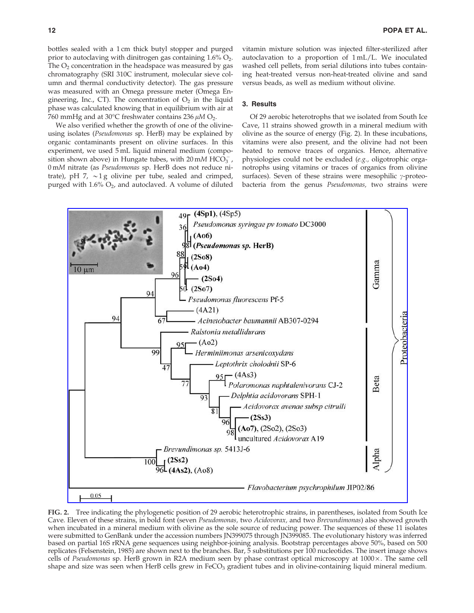bottles sealed with a 1 cm thick butyl stopper and purged prior to autoclaving with dinitrogen gas containing  $1.6\%$   $O_2$ . The  $O<sub>2</sub>$  concentration in the headspace was measured by gas chromatography (SRI 310C instrument, molecular sieve column and thermal conductivity detector). The gas pressure was measured with an Omega pressure meter (Omega Engineering, Inc., CT). The concentration of  $O<sub>2</sub>$  in the liquid phase was calculated knowing that in equilibrium with air at 760 mmHg and at 30°C freshwater contains 236  $\mu$ M O<sub>2</sub>.

We also verified whether the growth of one of the olivineusing isolates (Pseudomonas sp. HerB) may be explained by organic contaminants present on olivine surfaces. In this experiment, we used 5 mL liquid mineral medium (composition shown above) in Hungate tubes, with 20 mM HCO<sub>3</sub>, 0 mM nitrate (as Pseudomonas sp. HerB does not reduce nitrate), pH 7,  $\sim$ 1 g olivine per tube, sealed and crimped, purged with  $1.6\%$  O<sub>2</sub>, and autoclaved. A volume of diluted vitamin mixture solution was injected filter-sterilized after autoclavation to a proportion of 1 mL/L. We inoculated washed cell pellets, from serial dilutions into tubes containing heat-treated versus non-heat-treated olivine and sand versus beads, as well as medium without olivine.

## 3. Results

Of 29 aerobic heterotrophs that we isolated from South Ice Cave, 11 strains showed growth in a mineral medium with olivine as the source of energy (Fig. 2). In these incubations, vitamins were also present, and the olivine had not been heated to remove traces of organics. Hence, alternative physiologies could not be excluded (e.g., oligotrophic organotrophs using vitamins or traces of organics from olivine surfaces). Seven of these strains were mesophilic  $\gamma$ -proteobacteria from the genus Pseudomonas, two strains were



FIG. 2. Tree indicating the phylogenetic position of 29 aerobic heterotrophic strains, in parentheses, isolated from South Ice Cave. Eleven of these strains, in bold font (seven Pseudomonas, two Acidovorax, and two Brevundimonas) also showed growth when incubated in a mineral medium with olivine as the sole source of reducing power. The sequences of these 11 isolates were submitted to GenBank under the accession numbers JN399075 through JN399085. The evolutionary history was inferred based on partial 16S rRNA gene sequences using neighbor-joining analysis. Bootstrap percentages above 50%, based on 500 replicates (Felsenstein, 1985) are shown next to the branches. Bar, 5 substitutions per 100 nucleotides. The insert image shows cells of Pseudomonas sp. HerB grown in R2A medium seen by phase contrast optical microscopy at  $1000 \times$ . The same cell shape and size was seen when HerB cells grew in FeCO<sub>3</sub> gradient tubes and in olivine-containing liquid mineral medium.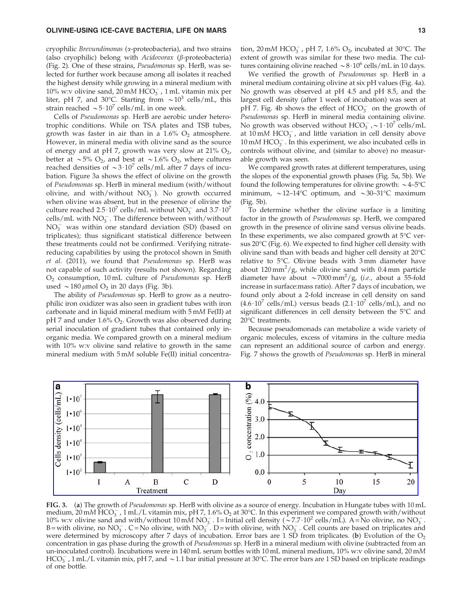cryophilic Brevundimonas (a-proteobacteria), and two strains (also cryophilic) belong with  $Acidovorax$  ( $\beta$ -proteobacteria) (Fig. 2). One of these strains, Pseudomonas sp. HerB, was selected for further work because among all isolates it reached the highest density while growing in a mineral medium with 10% w:v olivine sand,  $20 \text{ mM HCO}_3^-$ , 1 mL vitamin mix per liter, pH 7, and 30°C. Starting from  $\sim 10^3$  cells/mL, this strain reached  $\sim 5.10^7$  cells/mL in one week.

Cells of Pseudomonas sp. HerB are aerobic under heterotrophic conditions. While on TSA plates and TSB tubes, growth was faster in air than in a  $1.6\%$  O<sub>2</sub> atmosphere. However, in mineral media with olivine sand as the source of energy and at pH 7, growth was very slow at  $21\%$  O<sub>2</sub>, better at  $\sim$  5% O<sub>2</sub>, and best at  $\sim$  1.6% O<sub>2</sub>, where cultures reached densities of  $\sim$ 3·10<sup>7</sup> cells/mL after 7 days of incubation. Figure 3a shows the effect of olivine on the growth of Pseudomonas sp. HerB in mineral medium (with/without olivine, and with/without  $NO_3^-$ ). No growth occurred when olivine was absent, but in the presence of olivine the culture reached  $2.5 \cdot 10^7$  cells/mL without  $NO_3^-$  and  $3.7 \cdot 10^7$ cells/mL with  $NO_3^-$ . The difference between with/without  $NO<sub>3</sub><sup>-</sup>$  was within one standard deviation (SD) (based on triplicates); thus significant statistical difference between these treatments could not be confirmed. Verifying nitratereducing capabilities by using the protocol shown in Smith et al. (2011), we found that Pseudomonas sp. HerB was not capable of such activity (results not shown). Regarding O2 consumption, 10 mL culture of Pseudomonas sp. HerB used  $\sim$  180  $\mu$ mol O<sub>2</sub> in 20 days (Fig. 3b).

The ability of Pseudomonas sp. HerB to grow as a neutrophilic iron oxidizer was also seen in gradient tubes with iron carbonate and in liquid mineral medium with 5 mM Fe(II) at  $pH$  7 and under 1.6%  $O<sub>2</sub>$ . Growth was also observed during serial inoculation of gradient tubes that contained only inorganic media. We compared growth on a mineral medium with 10% w:v olivine sand relative to growth in the same mineral medium with 5 mM soluble Fe(II) initial concentra-

tion, 20 mM  $HCO_3^-$ , pH 7, 1.6%  $O_2$ , incubated at 30°C. The extent of growth was similar for these two media. The cultures containing olivine reached  $\sim 8 \cdot 10^6$  cells/mL in 10 days.

We verified the growth of Pseudomonas sp. HerB in a mineral medium containing olivine at six pH values (Fig. 4a). No growth was observed at pH 4.5 and pH 8.5, and the largest cell density (after 1 week of incubation) was seen at pH 7. Fig. 4b shows the effect of  $HCO_3^-$  on the growth of Pseudomonas sp. HerB in mineral media containing olivine. No growth was observed without  $HCO_3^-$ ,  $\sim$  1 $\cdot$  10<sup>7</sup> cells/mL at  $10 \text{ mM HCO}_3^-$ , and little variation in cell density above 10 mM  $HCO_3^-$ . In this experiment, we also incubated cells in controls without olivine, and (similar to above) no measurable growth was seen.

We compared growth rates at different temperatures, using the slopes of the exponential growth phases (Fig. 5a, 5b). We found the following temperatures for olivine growth:  $\sim$ 4–5°C minimum,  $\sim$  12–14°C optimum, and  $\sim$  30–31°C maximum (Fig. 5b).

To determine whether the olivine surface is a limiting factor in the growth of Pseudomonas sp. HerB, we compared growth in the presence of olivine sand versus olivine beads. In these experiments, we also compared growth at  $5^{\circ}$ C versus 20°C (Fig. 6). We expected to find higher cell density with olivine sand than with beads and higher cell density at 20°C relative to 5°C. Olivine beads with 3mm diameter have about  $120 \text{ mm}^2/\text{g}$ , while olivine sand with 0.4 mm particle diameter have about  $\sim$  7000 mm<sup>2</sup>/g, (*i.e.*, about a 55-fold increase in surface:mass ratio). After 7 days of incubation, we found only about a 2-fold increase in cell density on sand  $(4.6 \cdot 10^{7} \text{ cells/mL})$  versus beads  $(2.1 \cdot 10^{7} \text{ cells/mL})$ , and no significant differences in cell density between the  $5^{\circ}$ C and 20°C treatments.

Because pseudomonads can metabolize a wide variety of organic molecules, excess of vitamins in the culture media can represent an additional source of carbon and energy. Fig. 7 shows the growth of Pseudomonas sp. HerB in mineral



FIG. 3. (a) The growth of Pseudomonas sp. HerB with olivine as a source of energy. Incubation in Hungate tubes with 10 mL medium, 20 mM HCO<sub>3</sub>, 1 mL/L vitamin mix, pH 7, 1.6% O<sub>2</sub> at 30°C. In this experiment we compared growth with/without 10% w:v olivine sand and with/without  $10 \text{ mA} \text{ NO}_3^-$ . I=Initial cell density ( $\sim 7.7 \cdot 10^2$  cells/mL). A = No olivine, no NO<sub>3</sub>. B = with olivine, no  $NO_3^-$ . C = No olivine, with  $NO_3^-$ . D = with olivine, with  $NO_3^-$ . Cell counts are based on triplicates and were determined by microscopy after 7 days of incubation. Error bars are 1 SD from triplicates. (b) Evolution of the  $O<sub>2</sub>$ concentration in gas phase during the growth of Pseudomonas sp. HerB in a mineral medium with olivine (subtracted from an un-inoculated control). Incubations were in 140 mL serum bottles with 10 mL mineral medium, 10% w:v olivine sand, 20 mM  $HCO_3^-$ , 1 mL/L vitamin mix, pH 7, and  $\sim$  1.1 bar initial pressure at 30°C. The error bars are 1 SD based on triplicate readings of one bottle.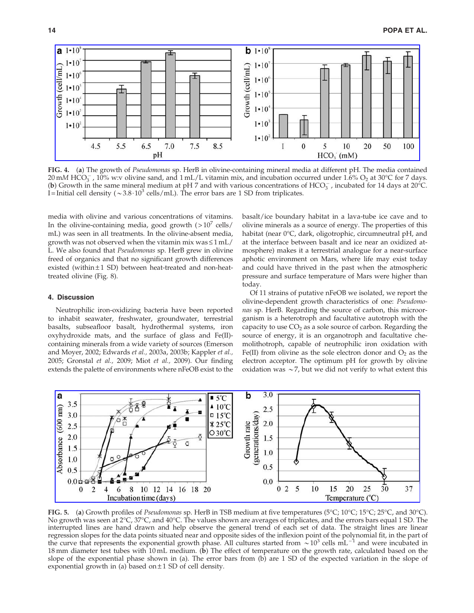

FIG. 4. (a) The growth of Pseudomonas sp. HerB in olivine-containing mineral media at different pH. The media contained  $20 \text{ mM HCO}_3^-$ ,  $10\%$  w:v olivine sand, and  $1 \text{ mL/L}$  vitamin mix, and incubation occurred under  $1.6\%$  O<sub>2</sub> at  $30^{\circ}$ C for 7 days. (b) Growth in the same mineral medium at pH 7 and with various concentrations of HCO<sub>3</sub>, incubated for 14 days at 20<sup>o</sup>C. I = Initial cell density ( $\sim 3.8 \cdot 10^3$  cells/mL). The error bars are 1 SD from triplicates.

media with olivine and various concentrations of vitamins. In the olivine-containing media, good growth  $(>10^7 \text{ cells})$ mL) was seen in all treatments. In the olivine-absent media, growth was not observed when the vitamin mix was  $\leq 1$  mL/ L. We also found that Pseudomonas sp. HerB grew in olivine freed of organics and that no significant growth differences existed (within  $\pm 1$  SD) between heat-treated and non-heattreated olivine (Fig. 8).

## 4. Discussion

Neutrophilic iron-oxidizing bacteria have been reported to inhabit seawater, freshwater, groundwater, terrestrial basalts, subseafloor basalt, hydrothermal systems, iron oxyhydroxide mats, and the surface of glass and Fe(II) containing minerals from a wide variety of sources (Emerson and Moyer, 2002; Edwards et al., 2003a, 2003b; Kappler et al., 2005; Gronstal et al., 2009; Miot et al., 2009). Our finding extends the palette of environments where nFeOB exist to the basalt/ice boundary habitat in a lava-tube ice cave and to olivine minerals as a source of energy. The properties of this habitat (near 0°C, dark, oligotrophic, circumneutral pH, and at the interface between basalt and ice near an oxidized atmosphere) makes it a terrestrial analogue for a near-surface aphotic environment on Mars, where life may exist today and could have thrived in the past when the atmospheric pressure and surface temperature of Mars were higher than today.

Of 11 strains of putative nFeOB we isolated, we report the olivine-dependent growth characteristics of one: Pseudomonas sp. HerB. Regarding the source of carbon, this microorganism is a heterotroph and facultative autotroph with the capacity to use  $CO<sub>2</sub>$  as a sole source of carbon. Regarding the source of energy, it is an organotroph and facultative chemolithotroph, capable of neutrophilic iron oxidation with Fe(II) from olivine as the sole electron donor and  $O_2$  as the electron acceptor. The optimum pH for growth by olivine oxidation was  $\sim$  7, but we did not verify to what extent this



**FIG. 5.** (a) Growth profiles of Pseudomonas sp. HerB in TSB medium at five temperatures (5°C; 10°C; 15°C; 25°C, and 30°C). No growth was seen at 2°C, 37°C, and 40°C. The values shown are averages of triplicates, and the errors bars equal 1 SD. The interrupted lines are hand drawn and help observe the general trend of each set of data. The straight lines are linear regression slopes for the data points situated near and opposite sides of the inflexion point of the polynomial fit, in the part of<br>the curve that represents the exponential growth phase. All cultures started from  $\sim$ 10<sup></sup> 18 mm diameter test tubes with 10 mL medium. (b) The effect of temperature on the growth rate, calculated based on the slope of the exponential phase shown in (a). The error bars from (b) are 1 SD of the expected variation in the slope of exponential growth in (a) based on  $\pm$  1 SD of cell density.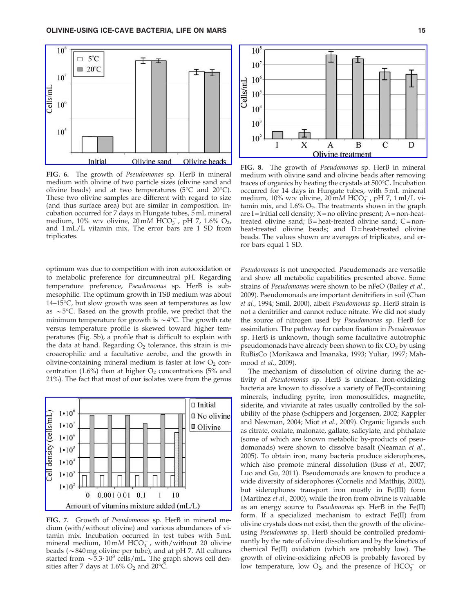

FIG. 6. The growth of Pseudomonas sp. HerB in mineral medium with olivine of two particle sizes (olivine sand and olivine beads) and at two temperatures (5 $\rm ^{\circ}C$  and 20 $\rm ^{\circ}C$ ). These two olivine samples are different with regard to size (and thus surface area) but are similar in composition. Incubation occurred for 7 days in Hungate tubes, 5 mL mineral medium, 10% w:v olivine, 20 mM  $\text{HCO}_3^-$ , pH 7, 1.6% O<sub>2</sub>, and 1 mL/L vitamin mix. The error bars are 1 SD from triplicates.

optimum was due to competition with iron autooxidation or to metabolic preference for circumneutral pH. Regarding temperature preference, Pseudomonas sp. HerB is submesophilic. The optimum growth in TSB medium was about 14–15°C, but slow growth was seen at temperatures as low as  $\sim$  5°C. Based on the growth profile, we predict that the minimum temperature for growth is  $\sim$  4°C. The growth rate versus temperature profile is skewed toward higher temperatures (Fig. 5b), a profile that is difficult to explain with the data at hand. Regarding  $O_2$  tolerance, this strain is microaerophilic and a facultative aerobe, and the growth in olivine-containing mineral medium is faster at low  $O_2$  concentration (1.6%) than at higher  $O_2$  concentrations (5% and 21%). The fact that most of our isolates were from the genus



FIG. 7. Growth of Pseudomonas sp. HerB in mineral medium (with/without olivine) and various abundances of vitamin mix. Incubation occurred in test tubes with 5 mL mineral medium,  $10 \text{ mM HCO}_3^-$ , with/without 20 olivine beads ( $\sim$ 840 mg olivine per tube), and at pH 7. All cultures started from  $\sim 5.3 \cdot 10^3$  cells/mL. The graph shows cell densities after 7 days at  $1.6\%$  O<sub>2</sub> and 20 $^{\circ}$ C.



FIG. 8. The growth of *Pseudomonas* sp. HerB in mineral medium with olivine sand and olivine beads after removing traces of organics by heating the crystals at 500°C. Incubation occurred for 14 days in Hungate tubes, with 5 mL mineral medium,  $10\%$  w:v olivine,  $20 \text{ mM HCO}_3^-$ , pH 7,  $1 \text{ ml/L}$  vitamin mix, and  $1.6\%$  O<sub>2</sub>. The treatments shown in the graph are I = initial cell density;  $X = no$  olivine present; A = non-heattreated olivine sand;  $\overline{B}$  = heat-treated olivine sand; C = nonheat-treated olivine beads; and D=heat-treated olivine beads. The values shown are averages of triplicates, and error bars equal 1 SD.

Pseudomonas is not unexpected. Pseudomonads are versatile and show all metabolic capabilities presented above. Some strains of Pseudomonas were shown to be nFeO (Bailey et al., 2009). Pseudomonads are important denitrifiers in soil (Chan et al., 1994; Smil, 2000), albeit Pseudomonas sp. HerB strain is not a denitrifier and cannot reduce nitrate. We did not study the source of nitrogen used by Pseudomonas sp. HerB for assimilation. The pathway for carbon fixation in Pseudomonas sp. HerB is unknown, though some facultative autotrophic pseudomonads have already been shown to fix  $CO<sub>2</sub>$  by using RuBisCo (Morikawa and Imanaka, 1993; Yuliar, 1997; Mahmood et al., 2009).

The mechanism of dissolution of olivine during the activity of Pseudomonas sp. HerB is unclear. Iron-oxidizing bacteria are known to dissolve a variety of Fe(II)-containing minerals, including pyrite, iron monosulfides, magnetite, siderite, and vivianite at rates usually controlled by the solubility of the phase (Schippers and Jorgensen, 2002; Kappler and Newman, 2004; Miot et al., 2009). Organic ligands such as citrate, oxalate, malonate, gallate, salicylate, and phthalate (some of which are known metabolic by-products of pseudomonads) were shown to dissolve basalt (Neaman et al., 2005). To obtain iron, many bacteria produce siderophores, which also promote mineral dissolution (Buss et al., 2007; Luo and Gu, 2011). Pseudomonads are known to produce a wide diversity of siderophores (Cornelis and Matthijs, 2002), but siderophores transport iron mostly in Fe(III) form (Martínez et al., 2000), while the iron from olivine is valuable as an energy source to Pseudomonas sp. HerB in the Fe(II) form. If a specialized mechanism to extract Fe(II) from olivine crystals does not exist, then the growth of the olivineusing Pseudomonas sp. HerB should be controlled predominantly by the rate of olivine dissolution and by the kinetics of chemical Fe(II) oxidation (which are probably low). The growth of olivine-oxidizing nFeOB is probably favored by low temperature, low  $O_2$ , and the presence of  $HCO_3^-$  or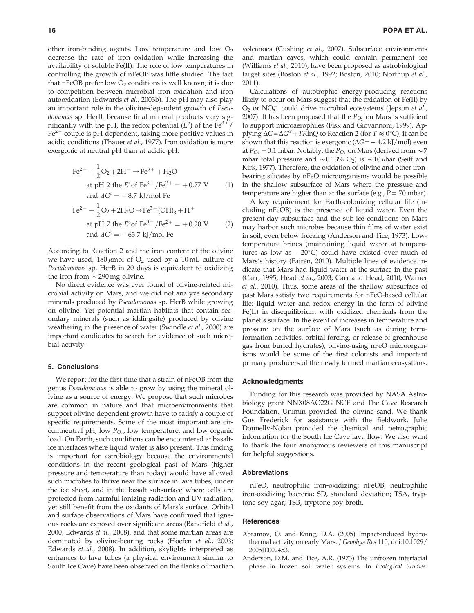other iron-binding agents. Low temperature and low  $O_2$ decrease the rate of iron oxidation while increasing the availability of soluble Fe(II). The role of low temperatures in controlling the growth of nFeOB was little studied. The fact that nFeOB prefer low  $O_2$  conditions is well known; it is due to competition between microbial iron oxidation and iron autooxidation (Edwards et al., 2003b). The pH may also play an important role in the olivine-dependent growth of Pseudomonas sp. HerB. Because final mineral products vary significantly with the pH, the redox potential  $(E^{\circ})$  of the  $Fe^{3+}/$  $Fe<sup>2+</sup>$  couple is pH-dependent, taking more positive values in acidic conditions (Thauer et al., 1977). Iron oxidation is more exergonic at neutral pH than at acidic pH.

$$
Fe^{2+} + \frac{1}{2}O_2 + 2H^+ \rightarrow Fe^{3+} + H_2O
$$
  
at pH 2 the E° of Fe<sup>3+</sup>/Fe<sup>2+</sup> = +0.77 V (1)  
and  $\Delta G^\circ = -8.7$  kJ/mol Fe  

$$
Fe^{2+} + \frac{1}{2}O_2 + 2H_2O \rightarrow Fe^{3+} (OH)_3 + H^+
$$
  
at pH 7 the E° of Fe<sup>3+</sup>/Fe<sup>2+</sup> = +0.20 V (2)

According to Reaction 2 and the iron content of the olivine we have used,  $180 \mu$ mol of O<sub>2</sub> used by a 10 mL culture of Pseudomonas sp. HerB in 20 days is equivalent to oxidizing the iron from  $\sim$  290 mg olivine.

and  $\Delta G^{\circ} = -63.7 \text{ kJ/mol}$  Fe

No direct evidence was ever found of olivine-related microbial activity on Mars, and we did not analyze secondary minerals produced by Pseudomonas sp. HerB while growing on olivine. Yet potential martian habitats that contain secondary minerals (such as iddingsite) produced by olivine weathering in the presence of water (Swindle et al., 2000) are important candidates to search for evidence of such microbial activity.

### 5. Conclusions

We report for the first time that a strain of nFeOB from the genus Pseudomonas is able to grow by using the mineral olivine as a source of energy. We propose that such microbes are common in nature and that microenvironments that support olivine-dependent growth have to satisfy a couple of specific requirements. Some of the most important are circumneutral pH, low  $P_{O<sub>2</sub>}$ , low temperature, and low organic load. On Earth, such conditions can be encountered at basaltice interfaces where liquid water is also present. This finding is important for astrobiology because the environmental conditions in the recent geological past of Mars (higher pressure and temperature than today) would have allowed such microbes to thrive near the surface in lava tubes, under the ice sheet, and in the basalt subsurface where cells are protected from harmful ionizing radiation and UV radiation, yet still benefit from the oxidants of Mars's surface. Orbital and surface observations of Mars have confirmed that igneous rocks are exposed over significant areas (Bandfield et al., 2000; Edwards et al., 2008), and that some martian areas are dominated by olivine-bearing rocks (Hoefen et al., 2003; Edwards et al., 2008). In addition, skylights interpreted as entrances to lava tubes (a physical environment similar to South Ice Cave) have been observed on the flanks of martian

volcanoes (Cushing et al., 2007). Subsurface environments and martian caves, which could contain permanent ice (Williams et al., 2010), have been proposed as astrobiological target sites (Boston et al., 1992; Boston, 2010; Northup et al., 2011).

Calculations of autotrophic energy-producing reactions likely to occur on Mars suggest that the oxidation of Fe(II) by  $O_2$  or  $NO_3^-$  could drive microbial ecosystems (Jepson *et al.*, 2007). It has been proposed that the  $P_{O_2}$  on Mars is sufficient to support microaerophiles (Fisk and Giovannoni, 1999). Applying  $\Delta G = \Delta G^{\circ'} + TR \ln Q$  to Reaction 2 (for  $T \approx 0^{\circ}C$ ), it can be shown that this reaction is exergonic  $(\Delta G = -4.2 \text{ kJ/mol})$  even at  $P_{O_2}$  = 0.1 mbar. Notably, the  $P_{O_2}$  on Mars (derived from  $\sim$  7 mbar total pressure and  $\sim$  0.13% O<sub>2</sub>) is  $\sim$  10  $\mu$ bar (Seiff and Kirk, 1977). Therefore, the oxidation of olivine and other ironbearing silicates by nFeO microorganisms would be possible in the shallow subsurface of Mars where the pressure and temperature are higher than at the surface (e.g.,  $P = 70$  mbar).

A key requirement for Earth-colonizing cellular life (including nFeOB) is the presence of liquid water. Even the present-day subsurface and the sub-ice conditions on Mars may harbor such microbes because thin films of water exist in soil, even below freezing (Anderson and Tice, 1973). Lowtemperature brines (maintaining liquid water at temperatures as low as  $-20^{\circ}$ C) could have existed over much of Mars's history (Fairén, 2010). Multiple lines of evidence indicate that Mars had liquid water at the surface in the past (Carr, 1995; Head et al., 2003; Carr and Head, 2010; Warner et al., 2010). Thus, some areas of the shallow subsurface of past Mars satisfy two requirements for nFeO-based cellular life: liquid water and redox energy in the form of olivine Fe(II) in disequilibrium with oxidized chemicals from the planet's surface. In the event of increases in temperature and pressure on the surface of Mars (such as during terraformation activities, orbital forcing, or release of greenhouse gas from buried hydrates), olivine-using nFeO microorganisms would be some of the first colonists and important primary producers of the newly formed martian ecosystems.

## Acknowledgments

Funding for this research was provided by NASA Astrobiology grant NNX08AO22G NCE and The Cave Research Foundation. Unimin provided the olivine sand. We thank Gus Frederick for assistance with the fieldwork. Julie Donnelly-Nolan provided the chemical and petrographic information for the South Ice Cave lava flow. We also want to thank the four anonymous reviewers of this manuscript for helpful suggestions.

### Abbreviations

nFeO, neutrophilic iron-oxidizing; nFeOB, neutrophilic iron-oxidizing bacteria; SD, standard deviation; TSA, tryptone soy agar; TSB, tryptone soy broth.

#### **References**

- Abramov, O. and Kring, D.A. (2005) Impact-induced hydrothermal activity on early Mars. J Geophys Res 110, doi:10.1029/ 2005JE002453.
- Anderson, D.M. and Tice, A.R. (1973) The unfrozen interfacial phase in frozen soil water systems. In Ecological Studies.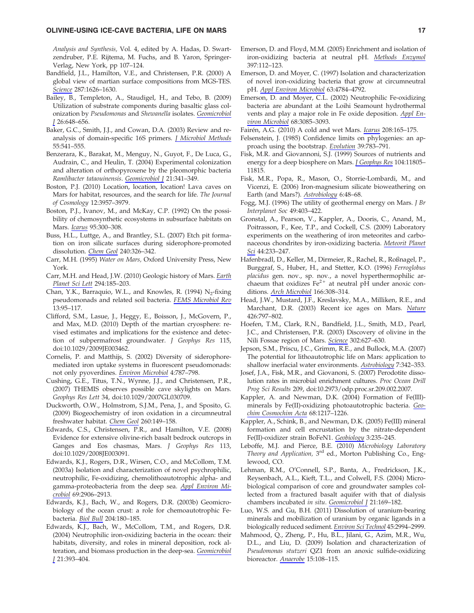#### OLIVINE-USING ICE-CAVE BACTERIA, LIFE ON MARS 17

Analysis and Synthesis, Vol. 4, edited by A. Hadas, D. Swartzendruber, P.E. Rijtema, M. Fuchs, and B. Yaron, Springer-Verlag, New York, pp 107–124.

- Bandfield, J.L., Hamilton, V.E., and Christensen, P.R. (2000) A global view of martian surface compositions from MGS-TES. Science 287:1626–1630.
- Bailey, B., Templeton, A., Staudigel, H., and Tebo, B. (2009) Utilization of substrate components during basaltic glass colonization by Pseudomonas and Shewanella isolates. Geomicrobiol J 26:648–656.
- Baker, G.C., Smith, J.J., and Cowan, D.A. (2003) Review and reanalysis of domain-specific 16S primers. *J Microbiol Methods* 55:541–555.
- Benzerara, K., Barakat, M., Menguy, N., Guyot, F., De Luca, G., Audrain, C., and Heulin, T. (2004) Experimental colonization and alteration of orthopyroxene by the pleomorphic bacteria Ramlibacter tataouinensis. Geomicrobiol J 21:341-349.
- Boston, P.J. (2010) Location, location, location! Lava caves on Mars for habitat, resources, and the search for life. The Journal of Cosmology 12:3957–3979.
- Boston, P.J., Ivanov, M., and McKay, C.P. (1992) On the possibility of chemosynthetic ecosystems in subsurface habitats on Mars. Icarus 95:300–308.
- Buss, H.L., Luttge, A., and Brantley, S.L. (2007) Etch pit formation on iron silicate surfaces during siderophore-promoted dissolution. Chem Geol 240:326–342.
- Carr, M.H. (1995) Water on Mars, Oxford University Press, New York.
- Carr, M.H. and Head, J.W. (2010) Geologic history of Mars. Earth Planet Sci Lett 294:185–203.
- Chan, Y.K., Barraquio, W.L., and Knowles, R. (1994)  $N_2$ -fixing pseudomonads and related soil bacteria. FEMS Microbiol Rev 13:95–117.
- Clifford, S.M., Lasue, J., Heggy, E., Boisson, J., McGovern, P., and Max, M.D. (2010) Depth of the martian cryosphere: revised estimates and implications for the existence and detection of subpermafrost groundwater. J Geophys Res 115, doi:10.1029/2009JE003462.
- Cornelis, P. and Matthijs, S. (2002) Diversity of siderophoremediated iron uptake systems in fluorescent pseudomonads: not only pyoverdines. Environ Microbiol 4:787–798.
- Cushing, G.E., Titus, T.N., Wynne, J.J., and Christensen, P.R., (2007) THEMIS observes possible cave skylights on Mars. Geophys Res Lett 34, doi:10.1029/2007GL030709.
- Duckworth, O.W., Holmstrom, S.J.M., Pena, J., and Sposito, G. (2009) Biogeochemistry of iron oxidation in a circumneutral freshwater habitat. Chem Geol 260:149–158.
- Edwards, C.S., Christensen, P.R., and Hamilton, V.E. (2008) Evidence for extensive olivine-rich basalt bedrock outcrops in Ganges and Eos chasmas, Mars. J Geophys Res 113, doi:10.1029/2008JE003091.
- Edwards, K.J., Rogers, D.R., Wirsen, C.O., and McCollom, T.M. (2003a) Isolation and characterization of novel psychrophilic, neutrophilic, Fe-oxidizing, chemolithoautotrophic alpha- and gamma-proteobacteria from the deep sea. Appl Environ Microbiol 69:2906–2913.
- Edwards, K.J., Bach, W., and Rogers, D.R. (2003b) Geomicrobiology of the ocean crust: a role for chemoautotrophic Febacteria. Biol Bull 204:180–185.
- Edwards, K.J., Bach, W., McCollom, T.M., and Rogers, D.R. (2004) Neutrophilic iron-oxidizing bacteria in the ocean: their habitats, diversity, and roles in mineral deposition, rock alteration, and biomass production in the deep-sea. Geomicrobiol J 21:393–404.
- Emerson, D. and Floyd, M.M. (2005) Enrichment and isolation of iron-oxidizing bacteria at neutral pH. Methods Enzymol 397:112–123.
- Emerson, D. and Moyer, C. (1997) Isolation and characterization of novel iron-oxidizing bacteria that grow at circumneutral pH. Appl Environ Microbiol 63:4784–4792.
- Emerson, D. and Moyer, C.L. (2002) Neutrophilic Fe-oxidizing bacteria are abundant at the Loihi Seamount hydrothermal vents and play a major role in Fe oxide deposition. Appl Environ Microbiol 68:3085–3093.
- Fairén, A.G. (2010) A cold and wet Mars. *Icarus* 208:165–175.
- Felsenstein, J. (1985) Confidence limits on phylogenies: an approach using the bootstrap. Evolution 39:783–791.
- Fisk, M.R. and Giovannoni, S.J. (1999) Sources of nutrients and energy for a deep biosphere on Mars. *J Geophys Res* 104:11805– 11815.
- Fisk, M.R., Popa, R., Mason, O., Storrie-Lombardi, M., and Vicenzi, E. (2006) Iron-magnesium silicate bioweathering on Earth (and Mars?). Astrobiology 6:48–68.
- Fogg, M.J. (1996) The utility of geothermal energy on Mars. J Br Interplanet Soc 49:403–422.
- Gronstal, A., Pearson, V., Kappler, A., Dooris, C., Anand, M., Poitrasson, F., Kee, T.P., and Cockell, C.S. (2009) Laboratory experiments on the weathering of iron meteorites and carbonaceous chondrites by iron-oxidizing bacteria. Meteorit Planet Sci 44:233–247.
- Hafenbradl, D., Keller, M., Dirmeier, R., Rachel, R., Roßnagel, P., Burggraf, S., Huber, H., and Stetter, K.O. (1996) Ferroglobus placidus gen. nov., sp. nov., a novel hyperthermophilic archaeum that oxidizes  $Fe^{2+}$  at neutral pH under anoxic conditions. Arch Microbiol 166:308–314.
- Head, J.W., Mustard, J.F., Kreslavsky, M.A., Milliken, R.E., and Marchant, D.R. (2003) Recent ice ages on Mars. Nature 426:797–802.
- Hoefen, T.M., Clark, R.N., Bandfield, J.L., Smith, M.D., Pearl, J.C., and Christensen, P.R. (2003) Discovery of olivine in the Nili Fossae region of Mars. Science 302:627-630.
- Jepson, S.M., Priscu, J.C., Grimm, R.E., and Bullock, M.A. (2007) The potential for lithoautotrophic life on Mars: application to shallow inerfacial water environments. Astrobiology 7:342–353.
- Josef, J.A., Fisk, M.R., and Giovanoni, S. (2007) Perodotite dissolution rates in microbial enrichment cultures. Proc Ocean Drill Prog Sci Results 209, doi:10.2973/odp.proc.sr.209.002.2007.
- Kappler, A. and Newman, D.K. (2004) Formation of Fe(III) minerals by Fe(II)-oxidizing photoautotrophic bacteria. Geochim Cosmochim Acta 68:1217–1226.
- Kappler, A., Schink, B., and Newman, D.K. (2005) Fe(III) mineral formation and cell encrustation by the nitrate-dependent Fe(II)-oxidizer strain BoFeN1. Geobiology 3:235–245.
- Leboffe, M.J. and Pierce, B.E. (2010) Microbiology Laboratory Theory and Application, 3<sup>rd</sup> ed., Morton Publishing Co., Englewood, CO.
- Lehman, R.M., O'Connell, S.P., Banta, A., Fredrickson, J.K., Reysenbach, A.L., Kieft, T.L., and Colwell, F.S. (2004) Microbiological comparison of core and groundwater samples collected from a fractured basalt aquifer with that of dialysis chambers incubated in situ. Geomicrobiol J 21:169-182.
- Luo, W.S. and Gu, B.H. (2011) Dissolution of uranium-bearing minerals and mobilization of uranium by organic ligands in a biologically reduced sediment. Environ Sci Technol 45:2994–2999.
- Mahmood, Q., Zheng, P., Hu, B.L., Jilani, G., Azim, M.R., Wu, D.L., and Liu, D. (2009) Isolation and characterization of Pseudomonas stutzeri QZ1 from an anoxic sulfide-oxidizing bioreactor. Anaerobe 15:108–115.